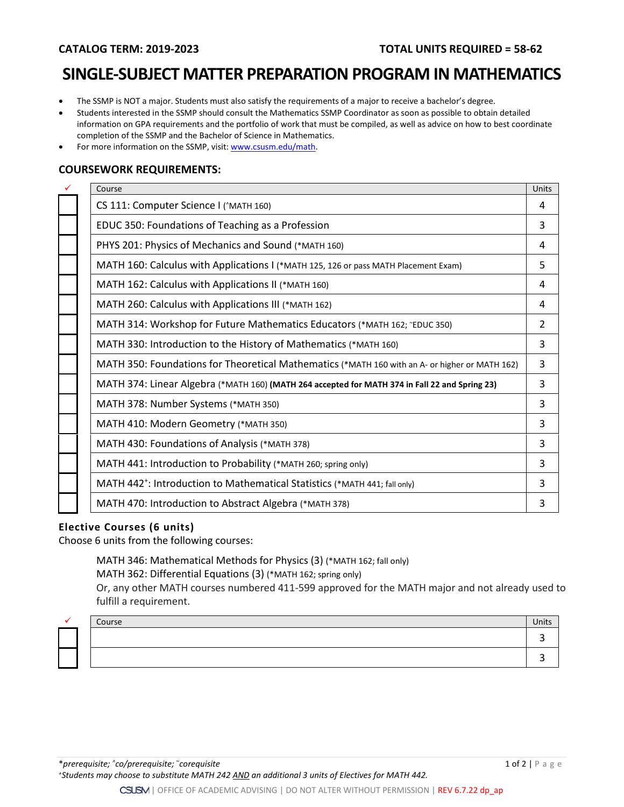### **CATALOG TERM: 2019-2023 TOTAL UNITS REQUIRED = 58-62**

# **SINGLE-SUBJECT MATTER PREPARATION PROGRAM IN MATHEMATICS**

- The SSMP is NOT a major. Students must also satisfy the requirements of a major to receive a bachelor's degree.
- Students interested in the SSMP should consult the Mathematics SSMP Coordinator as soon as possible to obtain detailed information on GPA requirements and the portfolio of work that must be compiled, as well as advice on how to best coordinate completion of the SSMP and the Bachelor of Science in Mathematics.
- For more information on the SSMP, visit: [www.csusm.edu/math.](http://www.csusm.edu/math)

#### **COURSEWORK REQUIREMENTS:**

| Course                                                                                         | Units |
|------------------------------------------------------------------------------------------------|-------|
| CS 111: Computer Science I ('MATH 160)                                                         | 4     |
| EDUC 350: Foundations of Teaching as a Profession                                              | 3     |
| PHYS 201: Physics of Mechanics and Sound (*MATH 160)                                           | 4     |
| MATH 160: Calculus with Applications I (*MATH 125, 126 or pass MATH Placement Exam)            | 5     |
| MATH 162: Calculus with Applications II (*MATH 160)                                            | 4     |
| MATH 260: Calculus with Applications III (*MATH 162)                                           | 4     |
| MATH 314: Workshop for Future Mathematics Educators (*MATH 162; "EDUC 350)                     | 2     |
| MATH 330: Introduction to the History of Mathematics (*MATH 160)                               | 3     |
| MATH 350: Foundations for Theoretical Mathematics (*MATH 160 with an A- or higher or MATH 162) | 3     |
| MATH 374: Linear Algebra (*MATH 160) (MATH 264 accepted for MATH 374 in Fall 22 and Spring 23) | 3     |
| MATH 378: Number Systems (*MATH 350)                                                           | 3     |
| MATH 410: Modern Geometry (*MATH 350)                                                          | 3     |
| MATH 430: Foundations of Analysis (*MATH 378)                                                  | 3     |
| MATH 441: Introduction to Probability (*MATH 260; spring only)                                 | 3     |
| MATH 442 <sup>+</sup> : Introduction to Mathematical Statistics (*MATH 441; fall only)         | 3     |
| MATH 470: Introduction to Abstract Algebra (*MATH 378)                                         | 3     |
|                                                                                                |       |

#### **Elective Courses (6 units)**

Choose 6 units from the following courses:

### MATH 346: Mathematical Methods for Physics (3) (\*MATH 162; fall only)

MATH 362: Differential Equations (3) (\*MATH 162; spring only)

Or, any other MATH courses numbered 411-599 approved for the MATH major and not already used to fulfill a requirement.

| . . | Course | Units |
|-----|--------|-------|
|     |        |       |
|     |        |       |